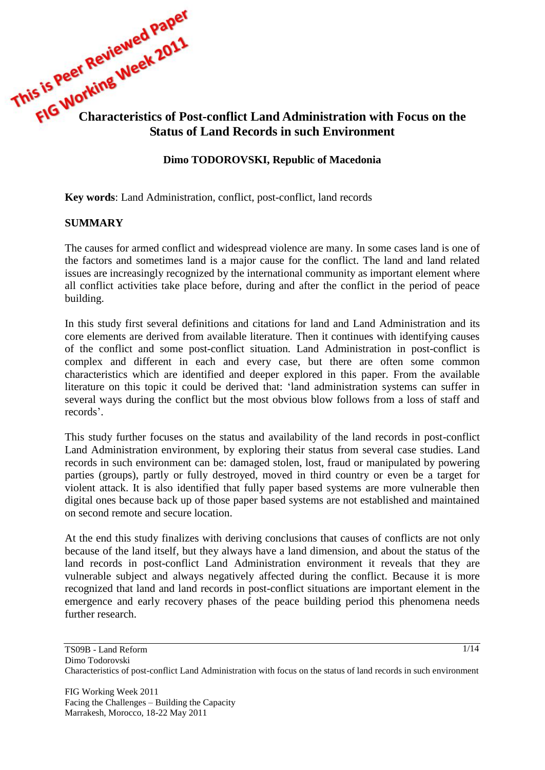

## **Dimo TODOROVSKI, Republic of Macedonia**

**Key words**: Land Administration, conflict, post-conflict, land records

### **SUMMARY**

The causes for armed conflict and widespread violence are many. In some cases land is one of the factors and sometimes land is a major cause for the conflict. The land and land related issues are increasingly recognized by the international community as important element where all conflict activities take place before, during and after the conflict in the period of peace building.

In this study first several definitions and citations for land and Land Administration and its core elements are derived from available literature. Then it continues with identifying causes of the conflict and some post-conflict situation. Land Administration in post-conflict is complex and different in each and every case, but there are often some common characteristics which are identified and deeper explored in this paper. From the available literature on this topic it could be derived that: "land administration systems can suffer in several ways during the conflict but the most obvious blow follows from a loss of staff and records".

This study further focuses on the status and availability of the land records in post-conflict Land Administration environment, by exploring their status from several case studies. Land records in such environment can be: damaged stolen, lost, fraud or manipulated by powering parties (groups), partly or fully destroyed, moved in third country or even be a target for violent attack. It is also identified that fully paper based systems are more vulnerable then digital ones because back up of those paper based systems are not established and maintained on second remote and secure location.

At the end this study finalizes with deriving conclusions that causes of conflicts are not only because of the land itself, but they always have a land dimension, and about the status of the land records in post-conflict Land Administration environment it reveals that they are vulnerable subject and always negatively affected during the conflict. Because it is more recognized that land and land records in post-conflict situations are important element in the emergence and early recovery phases of the peace building period this phenomena needs further research.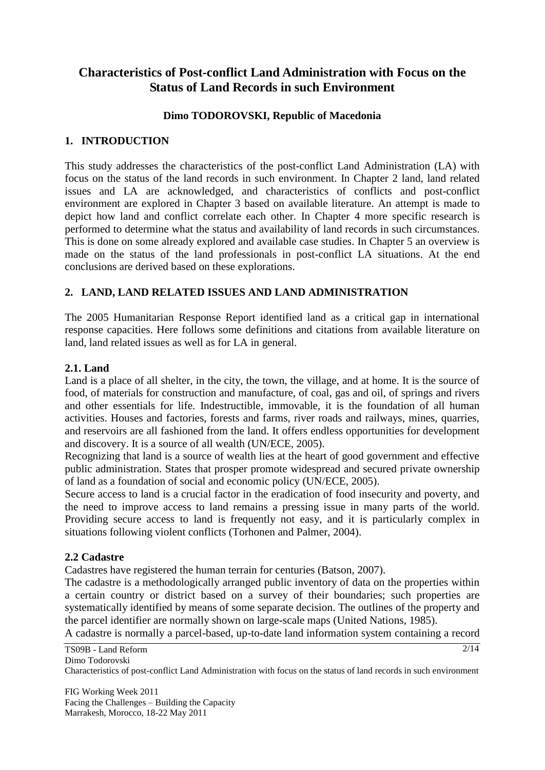# **Characteristics of Post-conflict Land Administration with Focus on the Status of Land Records in such Environment**

### **Dimo TODOROVSKI, Republic of Macedonia**

### **1. INTRODUCTION**

This study addresses the characteristics of the post-conflict Land Administration (LA) with focus on the status of the land records in such environment. In Chapter 2 land, land related issues and LA are acknowledged, and characteristics of conflicts and post-conflict environment are explored in Chapter 3 based on available literature. An attempt is made to depict how land and conflict correlate each other. In Chapter 4 more specific research is performed to determine what the status and availability of land records in such circumstances. This is done on some already explored and available case studies. In Chapter 5 an overview is made on the status of the land professionals in post-conflict LA situations. At the end conclusions are derived based on these explorations.

### **2. LAND, LAND RELATED ISSUES AND LAND ADMINISTRATION**

The 2005 Humanitarian Response Report identified land as a critical gap in international response capacities. Here follows some definitions and citations from available literature on land, land related issues as well as for LA in general.

### **2.1. Land**

Land is a place of all shelter, in the city, the town, the village, and at home. It is the source of food, of materials for construction and manufacture, of coal, gas and oil, of springs and rivers and other essentials for life. Indestructible, immovable, it is the foundation of all human activities. Houses and factories, forests and farms, river roads and railways, mines, quarries, and reservoirs are all fashioned from the land. It offers endless opportunities for development and discovery. It is a source of all wealth (UN/ECE, 2005).

Recognizing that land is a source of wealth lies at the heart of good government and effective public administration. States that prosper promote widespread and secured private ownership of land as a foundation of social and economic policy (UN/ECE, 2005).

Secure access to land is a crucial factor in the eradication of food insecurity and poverty, and the need to improve access to land remains a pressing issue in many parts of the world. Providing secure access to land is frequently not easy, and it is particularly complex in situations following violent conflicts (Torhonen and Palmer, 2004).

#### **2.2 Cadastre**

Cadastres have registered the human terrain for centuries (Batson, 2007).

The cadastre is a methodologically arranged public inventory of data on the properties within a certain country or district based on a survey of their boundaries; such properties are systematically identified by means of some separate decision. The outlines of the property and the parcel identifier are normally shown on large-scale maps (United Nations, 1985).

A cadastre is normally a parcel-based, up-to-date land information system containing a record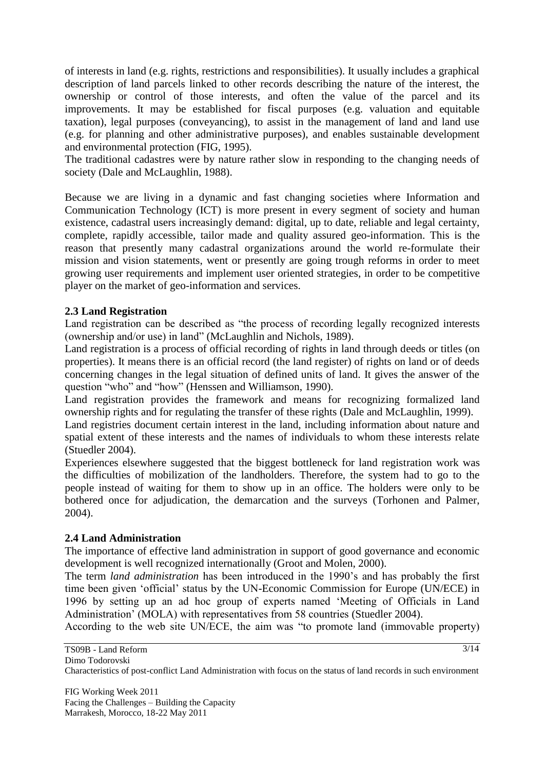of interests in land (e.g. rights, restrictions and responsibilities). It usually includes a graphical description of land parcels linked to other records describing the nature of the interest, the ownership or control of those interests, and often the value of the parcel and its improvements. It may be established for fiscal purposes (e.g. valuation and equitable taxation), legal purposes (conveyancing), to assist in the management of land and land use (e.g. for planning and other administrative purposes), and enables sustainable development and environmental protection (FIG, 1995).

The traditional cadastres were by nature rather slow in responding to the changing needs of society (Dale and McLaughlin, 1988).

Because we are living in a dynamic and fast changing societies where Information and Communication Technology (ICT) is more present in every segment of society and human existence, cadastral users increasingly demand: digital, up to date, reliable and legal certainty, complete, rapidly accessible, tailor made and quality assured geo-information. This is the reason that presently many cadastral organizations around the world re-formulate their mission and vision statements, went or presently are going trough reforms in order to meet growing user requirements and implement user oriented strategies, in order to be competitive player on the market of geo-information and services.

### **2.3 Land Registration**

Land registration can be described as "the process of recording legally recognized interests (ownership and/or use) in land" (McLaughlin and Nichols, 1989).

Land registration is a process of official recording of rights in land through deeds or titles (on properties). It means there is an official record (the land register) of rights on land or of deeds concerning changes in the legal situation of defined units of land. It gives the answer of the question "who" and "how" (Henssen and Williamson, 1990).

Land registration provides the framework and means for recognizing formalized land ownership rights and for regulating the transfer of these rights (Dale and McLaughlin, 1999).

Land registries document certain interest in the land, including information about nature and spatial extent of these interests and the names of individuals to whom these interests relate (Stuedler 2004).

Experiences elsewhere suggested that the biggest bottleneck for land registration work was the difficulties of mobilization of the landholders. Therefore, the system had to go to the people instead of waiting for them to show up in an office. The holders were only to be bothered once for adjudication, the demarcation and the surveys (Torhonen and Palmer, 2004).

#### **2.4 Land Administration**

The importance of effective land administration in support of good governance and economic development is well recognized internationally (Groot and Molen, 2000).

The term *land administration* has been introduced in the 1990"s and has probably the first time been given "official" status by the UN-Economic Commission for Europe (UN/ECE) in 1996 by setting up an ad hoc group of experts named "Meeting of Officials in Land Administration" (MOLA) with representatives from 58 countries (Stuedler 2004).

According to the web site UN/ECE, the aim was "to promote land (immovable property)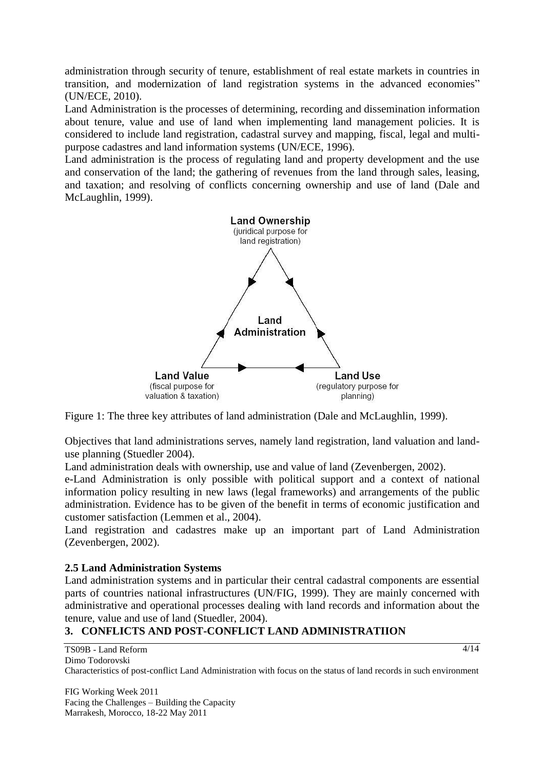administration through security of tenure, establishment of real estate markets in countries in transition, and modernization of land registration systems in the advanced economies" (UN/ECE, 2010).

Land Administration is the processes of determining, recording and dissemination information about tenure, value and use of land when implementing land management policies. It is considered to include land registration, cadastral survey and mapping, fiscal, legal and multipurpose cadastres and land information systems (UN/ECE, 1996).

Land administration is the process of regulating land and property development and the use and conservation of the land; the gathering of revenues from the land through sales, leasing, and taxation; and resolving of conflicts concerning ownership and use of land (Dale and McLaughlin, 1999).



Figure 1: The three key attributes of land administration (Dale and McLaughlin, 1999).

Objectives that land administrations serves, namely land registration, land valuation and landuse planning (Stuedler 2004).

Land administration deals with ownership, use and value of land (Zevenbergen, 2002).

e-Land Administration is only possible with political support and a context of national information policy resulting in new laws (legal frameworks) and arrangements of the public administration. Evidence has to be given of the benefit in terms of economic justification and customer satisfaction (Lemmen et al., 2004).

Land registration and cadastres make up an important part of Land Administration (Zevenbergen, 2002).

### **2.5 Land Administration Systems**

Land administration systems and in particular their central cadastral components are essential parts of countries national infrastructures (UN/FIG, 1999). They are mainly concerned with administrative and operational processes dealing with land records and information about the tenure, value and use of land (Stuedler, 2004).

### **3. CONFLICTS AND POST-CONFLICT LAND ADMINISTRATIION**

TS09B - Land Reform Dimo Todorovski Characteristics of post-conflict Land Administration with focus on the status of land records in such environment

FIG Working Week 2011 Facing the Challenges – Building the Capacity Marrakesh, Morocco, 18-22 May 2011

 $4/14$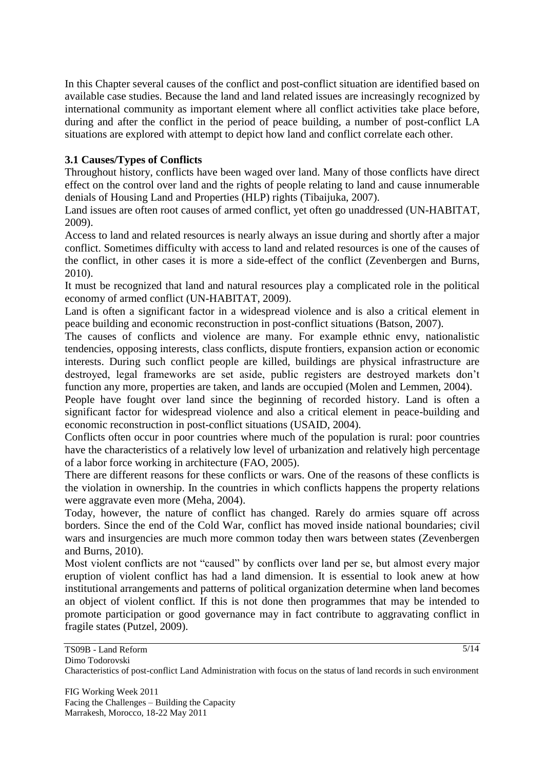In this Chapter several causes of the conflict and post-conflict situation are identified based on available case studies. Because the land and land related issues are increasingly recognized by international community as important element where all conflict activities take place before, during and after the conflict in the period of peace building, a number of post-conflict LA situations are explored with attempt to depict how land and conflict correlate each other.

# **3.1 Causes/Types of Conflicts**

Throughout history, conflicts have been waged over land. Many of those conflicts have direct effect on the control over land and the rights of people relating to land and cause innumerable denials of Housing Land and Properties (HLP) rights (Tibaijuka, 2007).

Land issues are often root causes of armed conflict, yet often go unaddressed (UN-HABITAT, 2009).

Access to land and related resources is nearly always an issue during and shortly after a major conflict. Sometimes difficulty with access to land and related resources is one of the causes of the conflict, in other cases it is more a side-effect of the conflict (Zevenbergen and Burns, 2010).

It must be recognized that land and natural resources play a complicated role in the political economy of armed conflict (UN-HABITAT, 2009).

Land is often a significant factor in a widespread violence and is also a critical element in peace building and economic reconstruction in post-conflict situations (Batson, 2007).

The causes of conflicts and violence are many. For example ethnic envy, nationalistic tendencies, opposing interests, class conflicts, dispute frontiers, expansion action or economic interests. During such conflict people are killed, buildings are physical infrastructure are destroyed, legal frameworks are set aside, public registers are destroyed markets don"t function any more, properties are taken, and lands are occupied (Molen and Lemmen, 2004).

People have fought over land since the beginning of recorded history. Land is often a significant factor for widespread violence and also a critical element in peace-building and economic reconstruction in post-conflict situations (USAID, 2004).

Conflicts often occur in poor countries where much of the population is rural: poor countries have the characteristics of a relatively low level of urbanization and relatively high percentage of a labor force working in architecture (FAO, 2005).

There are different reasons for these conflicts or wars. One of the reasons of these conflicts is the violation in ownership. In the countries in which conflicts happens the property relations were aggravate even more (Meha, 2004).

Today, however, the nature of conflict has changed. Rarely do armies square off across borders. Since the end of the Cold War, conflict has moved inside national boundaries; civil wars and insurgencies are much more common today then wars between states (Zevenbergen and Burns, 2010).

Most violent conflicts are not "caused" by conflicts over land per se, but almost every major eruption of violent conflict has had a land dimension. It is essential to look anew at how institutional arrangements and patterns of political organization determine when land becomes an object of violent conflict. If this is not done then programmes that may be intended to promote participation or good governance may in fact contribute to aggravating conflict in fragile states (Putzel, 2009).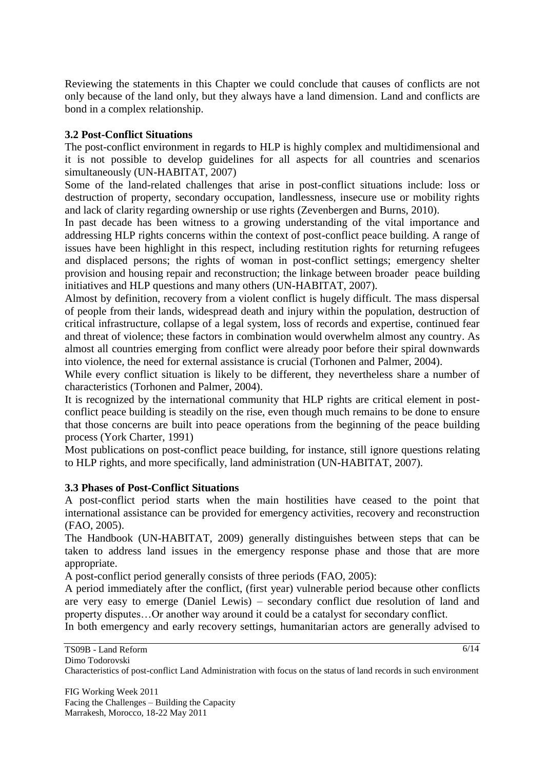Reviewing the statements in this Chapter we could conclude that causes of conflicts are not only because of the land only, but they always have a land dimension. Land and conflicts are bond in a complex relationship.

### **3.2 Post-Conflict Situations**

The post-conflict environment in regards to HLP is highly complex and multidimensional and it is not possible to develop guidelines for all aspects for all countries and scenarios simultaneously (UN-HABITAT, 2007)

Some of the land-related challenges that arise in post-conflict situations include: loss or destruction of property, secondary occupation, landlessness, insecure use or mobility rights and lack of clarity regarding ownership or use rights (Zevenbergen and Burns, 2010).

In past decade has been witness to a growing understanding of the vital importance and addressing HLP rights concerns within the context of post-conflict peace building. A range of issues have been highlight in this respect, including restitution rights for returning refugees and displaced persons; the rights of woman in post-conflict settings; emergency shelter provision and housing repair and reconstruction; the linkage between broader peace building initiatives and HLP questions and many others (UN-HABITAT, 2007).

Almost by definition, recovery from a violent conflict is hugely difficult. The mass dispersal of people from their lands, widespread death and injury within the population, destruction of critical infrastructure, collapse of a legal system, loss of records and expertise, continued fear and threat of violence; these factors in combination would overwhelm almost any country. As almost all countries emerging from conflict were already poor before their spiral downwards into violence, the need for external assistance is crucial (Torhonen and Palmer, 2004).

While every conflict situation is likely to be different, they nevertheless share a number of characteristics (Torhonen and Palmer, 2004).

It is recognized by the international community that HLP rights are critical element in postconflict peace building is steadily on the rise, even though much remains to be done to ensure that those concerns are built into peace operations from the beginning of the peace building process (York Charter, 1991)

Most publications on post-conflict peace building, for instance, still ignore questions relating to HLP rights, and more specifically, land administration (UN-HABITAT, 2007).

#### **3.3 Phases of Post-Conflict Situations**

A post-conflict period starts when the main hostilities have ceased to the point that international assistance can be provided for emergency activities, recovery and reconstruction (FAO, 2005).

The Handbook (UN-HABITAT, 2009) generally distinguishes between steps that can be taken to address land issues in the emergency response phase and those that are more appropriate.

A post-conflict period generally consists of three periods (FAO, 2005):

A period immediately after the conflict, (first year) vulnerable period because other conflicts are very easy to emerge (Daniel Lewis) – secondary conflict due resolution of land and property disputes…Or another way around it could be a catalyst for secondary conflict.

In both emergency and early recovery settings, humanitarian actors are generally advised to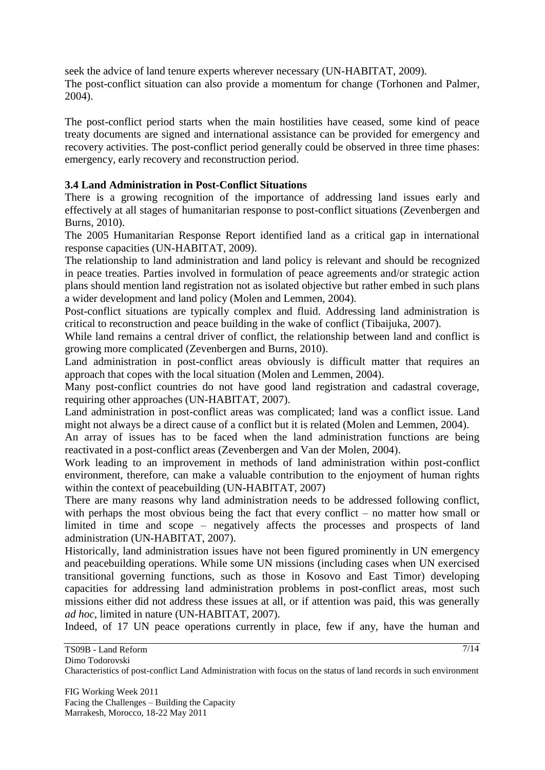seek the advice of land tenure experts wherever necessary (UN-HABITAT, 2009). The post-conflict situation can also provide a momentum for change (Torhonen and Palmer, 2004).

The post-conflict period starts when the main hostilities have ceased, some kind of peace treaty documents are signed and international assistance can be provided for emergency and recovery activities. The post-conflict period generally could be observed in three time phases: emergency, early recovery and reconstruction period.

## **3.4 Land Administration in Post-Conflict Situations**

There is a growing recognition of the importance of addressing land issues early and effectively at all stages of humanitarian response to post-conflict situations (Zevenbergen and Burns, 2010).

The 2005 Humanitarian Response Report identified land as a critical gap in international response capacities (UN-HABITAT, 2009).

The relationship to land administration and land policy is relevant and should be recognized in peace treaties. Parties involved in formulation of peace agreements and/or strategic action plans should mention land registration not as isolated objective but rather embed in such plans a wider development and land policy (Molen and Lemmen, 2004).

Post-conflict situations are typically complex and fluid. Addressing land administration is critical to reconstruction and peace building in the wake of conflict (Tibaijuka, 2007).

While land remains a central driver of conflict, the relationship between land and conflict is growing more complicated (Zevenbergen and Burns, 2010).

Land administration in post-conflict areas obviously is difficult matter that requires an approach that copes with the local situation (Molen and Lemmen, 2004).

Many post-conflict countries do not have good land registration and cadastral coverage, requiring other approaches (UN-HABITAT, 2007).

Land administration in post-conflict areas was complicated; land was a conflict issue. Land might not always be a direct cause of a conflict but it is related (Molen and Lemmen, 2004).

An array of issues has to be faced when the land administration functions are being reactivated in a post-conflict areas (Zevenbergen and Van der Molen, 2004).

Work leading to an improvement in methods of land administration within post-conflict environment, therefore, can make a valuable contribution to the enjoyment of human rights within the context of peacebuilding (UN-HABITAT, 2007)

There are many reasons why land administration needs to be addressed following conflict, with perhaps the most obvious being the fact that every conflict – no matter how small or limited in time and scope – negatively affects the processes and prospects of land administration (UN-HABITAT, 2007).

Historically, land administration issues have not been figured prominently in UN emergency and peacebuilding operations. While some UN missions (including cases when UN exercised transitional governing functions, such as those in Kosovo and East Timor) developing capacities for addressing land administration problems in post-conflict areas, most such missions either did not address these issues at all, or if attention was paid, this was generally *ad hoc*, limited in nature (UN-HABITAT, 2007).

Indeed, of 17 UN peace operations currently in place, few if any, have the human and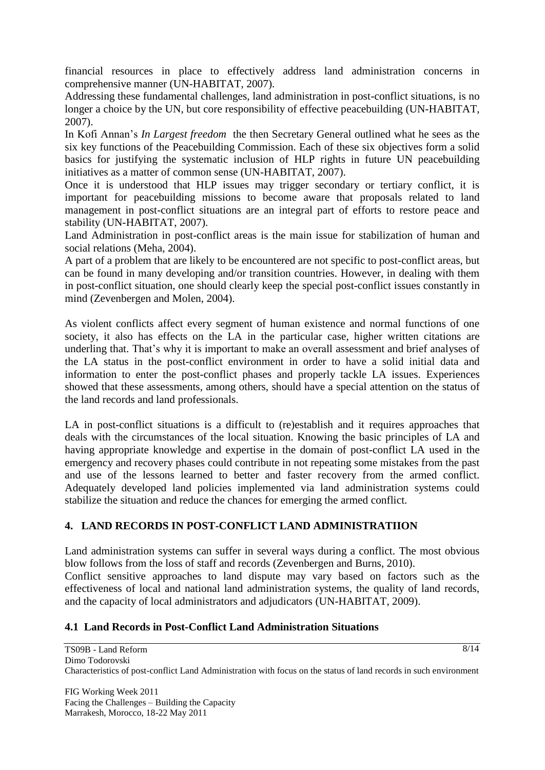financial resources in place to effectively address land administration concerns in comprehensive manner (UN-HABITAT, 2007).

Addressing these fundamental challenges, land administration in post-conflict situations, is no longer a choice by the UN, but core responsibility of effective peacebuilding (UN-HABITAT, 2007).

In Kofi Annan"s *In Largest freedom* the then Secretary General outlined what he sees as the six key functions of the Peacebuilding Commission. Each of these six objectives form a solid basics for justifying the systematic inclusion of HLP rights in future UN peacebuilding initiatives as a matter of common sense (UN-HABITAT, 2007).

Once it is understood that HLP issues may trigger secondary or tertiary conflict, it is important for peacebuilding missions to become aware that proposals related to land management in post-conflict situations are an integral part of efforts to restore peace and stability (UN-HABITAT, 2007).

Land Administration in post-conflict areas is the main issue for stabilization of human and social relations (Meha, 2004).

A part of a problem that are likely to be encountered are not specific to post-conflict areas, but can be found in many developing and/or transition countries. However, in dealing with them in post-conflict situation, one should clearly keep the special post-conflict issues constantly in mind (Zevenbergen and Molen, 2004).

As violent conflicts affect every segment of human existence and normal functions of one society, it also has effects on the LA in the particular case, higher written citations are underling that. That's why it is important to make an overall assessment and brief analyses of the LA status in the post-conflict environment in order to have a solid initial data and information to enter the post-conflict phases and properly tackle LA issues. Experiences showed that these assessments, among others, should have a special attention on the status of the land records and land professionals.

LA in post-conflict situations is a difficult to (re)establish and it requires approaches that deals with the circumstances of the local situation. Knowing the basic principles of LA and having appropriate knowledge and expertise in the domain of post-conflict LA used in the emergency and recovery phases could contribute in not repeating some mistakes from the past and use of the lessons learned to better and faster recovery from the armed conflict. Adequately developed land policies implemented via land administration systems could stabilize the situation and reduce the chances for emerging the armed conflict.

# **4. LAND RECORDS IN POST-CONFLICT LAND ADMINISTRATIION**

Land administration systems can suffer in several ways during a conflict. The most obvious blow follows from the loss of staff and records (Zevenbergen and Burns, 2010).

Conflict sensitive approaches to land dispute may vary based on factors such as the effectiveness of local and national land administration systems, the quality of land records, and the capacity of local administrators and adjudicators (UN-HABITAT, 2009).

### **4.1 Land Records in Post-Conflict Land Administration Situations**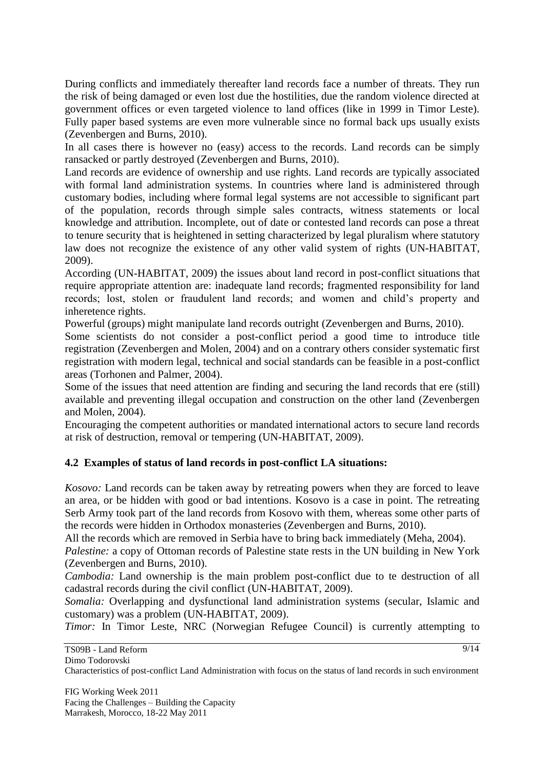During conflicts and immediately thereafter land records face a number of threats. They run the risk of being damaged or even lost due the hostilities, due the random violence directed at government offices or even targeted violence to land offices (like in 1999 in Timor Leste). Fully paper based systems are even more vulnerable since no formal back ups usually exists (Zevenbergen and Burns, 2010).

In all cases there is however no (easy) access to the records. Land records can be simply ransacked or partly destroyed (Zevenbergen and Burns, 2010).

Land records are evidence of ownership and use rights. Land records are typically associated with formal land administration systems. In countries where land is administered through customary bodies, including where formal legal systems are not accessible to significant part of the population, records through simple sales contracts, witness statements or local knowledge and attribution. Incomplete, out of date or contested land records can pose a threat to tenure security that is heightened in setting characterized by legal pluralism where statutory law does not recognize the existence of any other valid system of rights (UN-HABITAT, 2009).

According (UN-HABITAT, 2009) the issues about land record in post-conflict situations that require appropriate attention are: inadequate land records; fragmented responsibility for land records; lost, stolen or fraudulent land records; and women and child"s property and inheretence rights.

Powerful (groups) might manipulate land records outright (Zevenbergen and Burns, 2010).

Some scientists do not consider a post-conflict period a good time to introduce title registration (Zevenbergen and Molen, 2004) and on a contrary others consider systematic first registration with modern legal, technical and social standards can be feasible in a post-conflict areas (Torhonen and Palmer, 2004).

Some of the issues that need attention are finding and securing the land records that ere (still) available and preventing illegal occupation and construction on the other land (Zevenbergen and Molen, 2004).

Encouraging the competent authorities or mandated international actors to secure land records at risk of destruction, removal or tempering (UN-HABITAT, 2009).

### **4.2 Examples of status of land records in post-conflict LA situations:**

*Kosovo:* Land records can be taken away by retreating powers when they are forced to leave an area, or be hidden with good or bad intentions. Kosovo is a case in point. The retreating Serb Army took part of the land records from Kosovo with them, whereas some other parts of the records were hidden in Orthodox monasteries (Zevenbergen and Burns, 2010).

All the records which are removed in Serbia have to bring back immediately (Meha, 2004).

*Palestine:* a copy of Ottoman records of Palestine state rests in the UN building in New York (Zevenbergen and Burns, 2010).

*Cambodia:* Land ownership is the main problem post-conflict due to te destruction of all cadastral records during the civil conflict (UN-HABITAT, 2009).

*Somalia:* Overlapping and dysfunctional land administration systems (secular, Islamic and customary) was a problem (UN-HABITAT, 2009).

*Timor:* In Timor Leste, NRC (Norwegian Refugee Council) is currently attempting to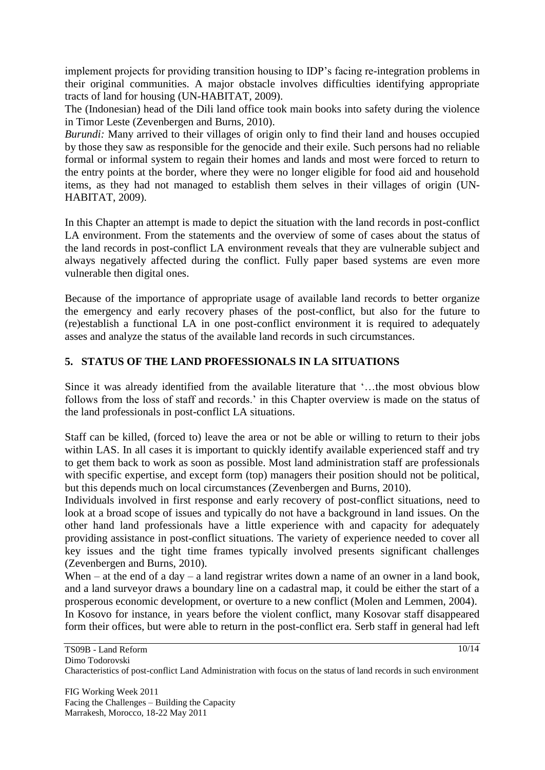implement projects for providing transition housing to IDP"s facing re-integration problems in their original communities. A major obstacle involves difficulties identifying appropriate tracts of land for housing (UN-HABITAT, 2009).

The (Indonesian) head of the Dili land office took main books into safety during the violence in Timor Leste (Zevenbergen and Burns, 2010).

*Burundi:* Many arrived to their villages of origin only to find their land and houses occupied by those they saw as responsible for the genocide and their exile. Such persons had no reliable formal or informal system to regain their homes and lands and most were forced to return to the entry points at the border, where they were no longer eligible for food aid and household items, as they had not managed to establish them selves in their villages of origin (UN-HABITAT, 2009).

In this Chapter an attempt is made to depict the situation with the land records in post-conflict LA environment. From the statements and the overview of some of cases about the status of the land records in post-conflict LA environment reveals that they are vulnerable subject and always negatively affected during the conflict. Fully paper based systems are even more vulnerable then digital ones.

Because of the importance of appropriate usage of available land records to better organize the emergency and early recovery phases of the post-conflict, but also for the future to (re)establish a functional LA in one post-conflict environment it is required to adequately asses and analyze the status of the available land records in such circumstances.

# **5. STATUS OF THE LAND PROFESSIONALS IN LA SITUATIONS**

Since it was already identified from the available literature that "…the most obvious blow follows from the loss of staff and records.' in this Chapter overview is made on the status of the land professionals in post-conflict LA situations.

Staff can be killed, (forced to) leave the area or not be able or willing to return to their jobs within LAS. In all cases it is important to quickly identify available experienced staff and try to get them back to work as soon as possible. Most land administration staff are professionals with specific expertise, and except form (top) managers their position should not be political, but this depends much on local circumstances (Zevenbergen and Burns, 2010).

Individuals involved in first response and early recovery of post-conflict situations, need to look at a broad scope of issues and typically do not have a background in land issues. On the other hand land professionals have a little experience with and capacity for adequately providing assistance in post-conflict situations. The variety of experience needed to cover all key issues and the tight time frames typically involved presents significant challenges (Zevenbergen and Burns, 2010).

When – at the end of a day – a land registrar writes down a name of an owner in a land book, and a land surveyor draws a boundary line on a cadastral map, it could be either the start of a prosperous economic development, or overture to a new conflict (Molen and Lemmen, 2004).

In Kosovo for instance, in years before the violent conflict, many Kosovar staff disappeared form their offices, but were able to return in the post-conflict era. Serb staff in general had left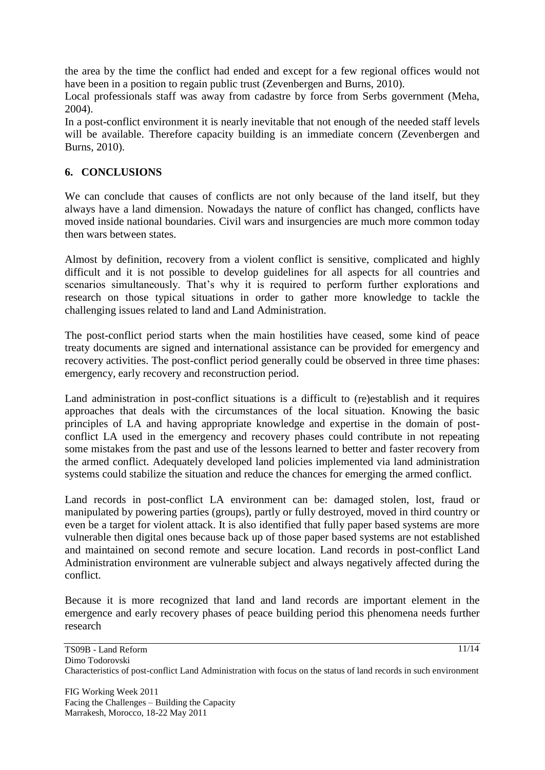the area by the time the conflict had ended and except for a few regional offices would not have been in a position to regain public trust (Zevenbergen and Burns, 2010).

Local professionals staff was away from cadastre by force from Serbs government (Meha, 2004).

In a post-conflict environment it is nearly inevitable that not enough of the needed staff levels will be available. Therefore capacity building is an immediate concern (Zevenbergen and Burns, 2010).

## **6. CONCLUSIONS**

We can conclude that causes of conflicts are not only because of the land itself, but they always have a land dimension. Nowadays the nature of conflict has changed, conflicts have moved inside national boundaries. Civil wars and insurgencies are much more common today then wars between states.

Almost by definition, recovery from a violent conflict is sensitive, complicated and highly difficult and it is not possible to develop guidelines for all aspects for all countries and scenarios simultaneously. That's why it is required to perform further explorations and research on those typical situations in order to gather more knowledge to tackle the challenging issues related to land and Land Administration.

The post-conflict period starts when the main hostilities have ceased, some kind of peace treaty documents are signed and international assistance can be provided for emergency and recovery activities. The post-conflict period generally could be observed in three time phases: emergency, early recovery and reconstruction period.

Land administration in post-conflict situations is a difficult to (re)establish and it requires approaches that deals with the circumstances of the local situation. Knowing the basic principles of LA and having appropriate knowledge and expertise in the domain of postconflict LA used in the emergency and recovery phases could contribute in not repeating some mistakes from the past and use of the lessons learned to better and faster recovery from the armed conflict. Adequately developed land policies implemented via land administration systems could stabilize the situation and reduce the chances for emerging the armed conflict.

Land records in post-conflict LA environment can be: damaged stolen, lost, fraud or manipulated by powering parties (groups), partly or fully destroyed, moved in third country or even be a target for violent attack. It is also identified that fully paper based systems are more vulnerable then digital ones because back up of those paper based systems are not established and maintained on second remote and secure location. Land records in post-conflict Land Administration environment are vulnerable subject and always negatively affected during the conflict.

Because it is more recognized that land and land records are important element in the emergence and early recovery phases of peace building period this phenomena needs further research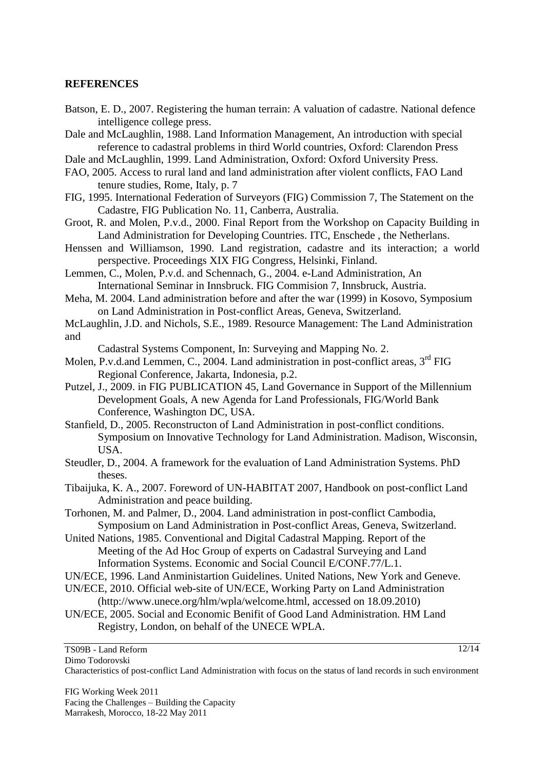#### **REFERENCES**

- Batson, E. D., 2007. Registering the human terrain: A valuation of cadastre. National defence intelligence college press.
- Dale and McLaughlin, 1988. Land Information Management, An introduction with special reference to cadastral problems in third World countries, Oxford: Clarendon Press
- Dale and McLaughlin, 1999. Land Administration, Oxford: Oxford University Press.
- FAO, 2005. Access to rural land and land administration after violent conflicts, FAO Land tenure studies, Rome, Italy, p. 7
- FIG, 1995. International Federation of Surveyors (FIG) Commission 7, The Statement on the Cadastre, FIG Publication No. 11, Canberra, Australia.
- Groot, R. and Molen, P.v.d., 2000. Final Report from the Workshop on Capacity Building in Land Administration for Developing Countries. ITC, Enschede , the Netherlans.
- Henssen and Williamson, 1990. Land registration, cadastre and its interaction; a world perspective. Proceedings XIX FIG Congress, Helsinki, Finland.
- Lemmen, C., Molen, P.v.d. and Schennach, G., 2004. e-Land Administration, An International Seminar in Innsbruck. FIG Commision 7, Innsbruck, Austria.
- Meha, M. 2004. Land administration before and after the war (1999) in Kosovo, Symposium on Land Administration in Post-conflict Areas, Geneva, Switzerland.
- McLaughlin, J.D. and Nichols, S.E., 1989. Resource Management: The Land Administration and

Cadastral Systems Component, In: Surveying and Mapping No. 2.

- Molen, P.v.d.and Lemmen, C., 2004. Land administration in post-conflict areas, 3<sup>rd</sup> FIG Regional Conference, Jakarta, Indonesia, p.2.
- Putzel, J., 2009. in FIG PUBLICATION 45, Land Governance in Support of the Millennium Development Goals, A new Agenda for Land Professionals, FIG/World Bank Conference, Washington DC, USA.
- Stanfield, D., 2005. Reconstructon of Land Administration in post-conflict conditions. Symposium on Innovative Technology for Land Administration. Madison, Wisconsin, USA.
- Steudler, D., 2004. A framework for the evaluation of Land Administration Systems. PhD theses.
- Tibaijuka, K. A., 2007. Foreword of UN-HABITAT 2007, Handbook on post-conflict Land Administration and peace building.
- Torhonen, M. and Palmer, D., 2004. Land administration in post-conflict Cambodia, Symposium on Land Administration in Post-conflict Areas, Geneva, Switzerland.
- United Nations, 1985. Conventional and Digital Cadastral Mapping. Report of the Meeting of the Ad Hoc Group of experts on Cadastral Surveying and Land Information Systems. Economic and Social Council E/CONF.77/L.1.
- UN/ECE, 1996. Land Anministartion Guidelines. United Nations, New York and Geneve.
- UN/ECE, 2010. Official web-site of UN/ECE, Working Party on Land Administration
- (http://www.unece.org/hlm/wpla/welcome.html, accessed on 18.09.2010) UN/ECE, 2005. Social and Economic Benifit of Good Land Administration. HM Land
	- Registry, London, on behalf of the UNECE WPLA.

#### TS09B - Land Reform Dimo Todorovski

12/14

Characteristics of post-conflict Land Administration with focus on the status of land records in such environment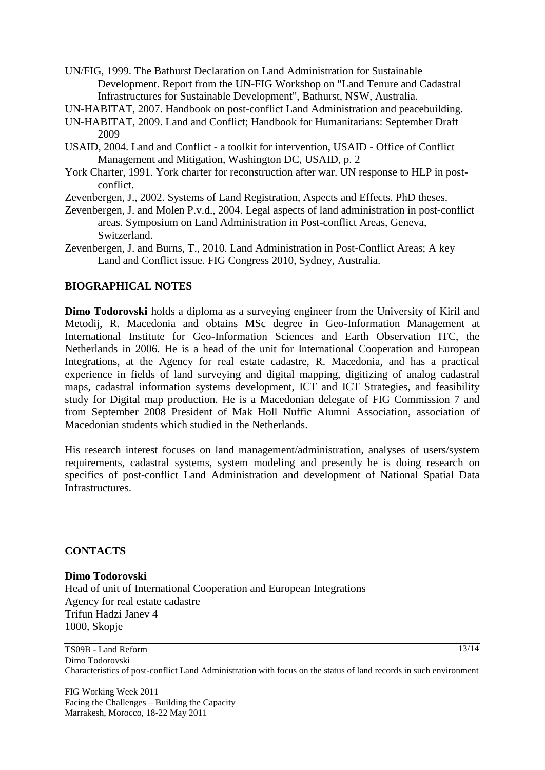- UN/FIG, 1999. The Bathurst Declaration on Land Administration for Sustainable Development. Report from the UN-FIG Workshop on "Land Tenure and Cadastral Infrastructures for Sustainable Development", Bathurst, NSW, Australia.
- UN-HABITAT, 2007. Handbook on post-conflict Land Administration and peacebuilding.
- UN-HABITAT, 2009. Land and Conflict; Handbook for Humanitarians: September Draft 2009
- USAID, 2004. Land and Conflict a toolkit for intervention, USAID Office of Conflict Management and Mitigation, Washington DC, USAID, p. 2
- York Charter, 1991. York charter for reconstruction after war. UN response to HLP in postconflict.
- Zevenbergen, J., 2002. Systems of Land Registration, Aspects and Effects. PhD theses.
- Zevenbergen, J. and Molen P.v.d., 2004. Legal aspects of land administration in post-conflict areas. Symposium on Land Administration in Post-conflict Areas, Geneva, Switzerland.
- Zevenbergen, J. and Burns, T., 2010. Land Administration in Post-Conflict Areas; A key Land and Conflict issue. FIG Congress 2010, Sydney, Australia.

### **BIOGRAPHICAL NOTES**

**Dimo Todorovski** holds a diploma as a surveying engineer from the University of Kiril and Metodij, R. Macedonia and obtains MSc degree in Geo-Information Management at International Institute for Geo-Information Sciences and Earth Observation ITC, the Netherlands in 2006. He is a head of the unit for International Cooperation and European Integrations, at the Agency for real estate cadastre, R. Macedonia, and has a practical experience in fields of land surveying and digital mapping, digitizing of analog cadastral maps, cadastral information systems development, ICT and ICT Strategies, and feasibility study for Digital map production. He is a Macedonian delegate of FIG Commission 7 and from September 2008 President of Mak Holl Nuffic Alumni Association, association of Macedonian students which studied in the Netherlands.

His research interest focuses on land management/administration, analyses of users/system requirements, cadastral systems, system modeling and presently he is doing research on specifics of post-conflict Land Administration and development of National Spatial Data Infrastructures.

#### **CONTACTS**

### **Dimo Todorovski** Head of unit of International Cooperation and European Integrations Agency for real estate cadastre Trifun Hadzi Janev 4 1000, Skopje

TS09B - Land Reform Dimo Todorovski Characteristics of post-conflict Land Administration with focus on the status of land records in such environment

FIG Working Week 2011 Facing the Challenges – Building the Capacity Marrakesh, Morocco, 18-22 May 2011

13/14